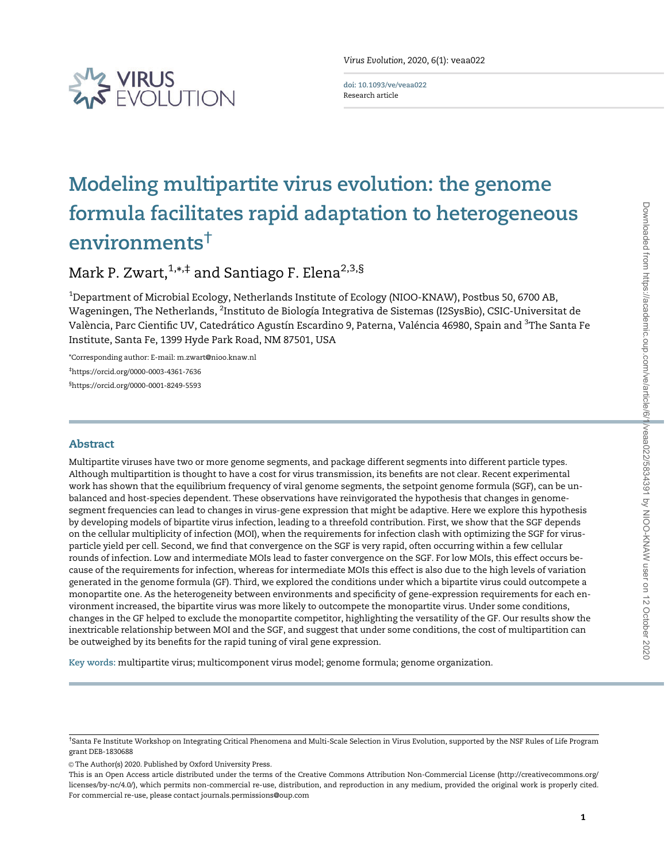

Virus Evolution, 2020, 6(1): veaa022

doi: 10.1093/ve/veaa022 Research article

# Modeling multipartite virus evolution: the genome formula facilitates rapid adaptation to heterogeneous environments†

Mark P. Zwart,<sup>1,</sup>\*,‡ and Santiago F. Elena<sup>2,3,§</sup>

 $^{\rm 1}$ Department of Microbial Ecology, Netherlands Institute of Ecology (NIOO-KNAW), Postbus 50, 6700 AB, Wageningen, The Netherlands, <sup>2</sup>Instituto de Biología Integrativa de Sistemas (I2SysBio), CSIC-Universitat de València, Parc Cientific UV, Catedrático Agustín Escardino 9, Paterna, Valéncia 46980, Spain and <sup>3</sup>The Santa Fe Institute, Santa Fe, 1399 Hyde Park Road, NM 87501, USA

\*Corresponding author: E-mail: m.zwart@nioo.knaw.nl ‡ <https://orcid.org/0000-0003-4361-7636> § <https://orcid.org/0000-0001-8249-5593>

# Abstract

Multipartite viruses have two or more genome segments, and package different segments into different particle types. Although multipartition is thought to have a cost for virus transmission, its benefits are not clear. Recent experimental work has shown that the equilibrium frequency of viral genome segments, the setpoint genome formula (SGF), can be unbalanced and host-species dependent. These observations have reinvigorated the hypothesis that changes in genomesegment frequencies can lead to changes in virus-gene expression that might be adaptive. Here we explore this hypothesis by developing models of bipartite virus infection, leading to a threefold contribution. First, we show that the SGF depends on the cellular multiplicity of infection (MOI), when the requirements for infection clash with optimizing the SGF for virusparticle yield per cell. Second, we find that convergence on the SGF is very rapid, often occurring within a few cellular rounds of infection. Low and intermediate MOIs lead to faster convergence on the SGF. For low MOIs, this effect occurs because of the requirements for infection, whereas for intermediate MOIs this effect is also due to the high levels of variation generated in the genome formula (GF). Third, we explored the conditions under which a bipartite virus could outcompete a monopartite one. As the heterogeneity between environments and specificity of gene-expression requirements for each environment increased, the bipartite virus was more likely to outcompete the monopartite virus. Under some conditions, changes in the GF helped to exclude the monopartite competitor, highlighting the versatility of the GF. Our results show the inextricable relationship between MOI and the SGF, and suggest that under some conditions, the cost of multipartition can be outweighed by its benefits for the rapid tuning of viral gene expression.

Key words: multipartite virus; multicomponent virus model; genome formula; genome organization.

<sup>†</sup> Santa Fe Institute Workshop on Integrating Critical Phenomena and Multi-Scale Selection in Virus Evolution, supported by the NSF Rules of Life Program grant DEB-1830688

<sup>©</sup> The Author(s) 2020. Published by Oxford University Press.

This is an Open Access article distributed under the terms of the Creative Commons Attribution Non-Commercial License (http://creativecommons.org/ licenses/by-nc/4.0/), which permits non-commercial re-use, distribution, and reproduction in any medium, provided the original work is properly cited. For commercial re-use, please contact journals.permissions@oup.com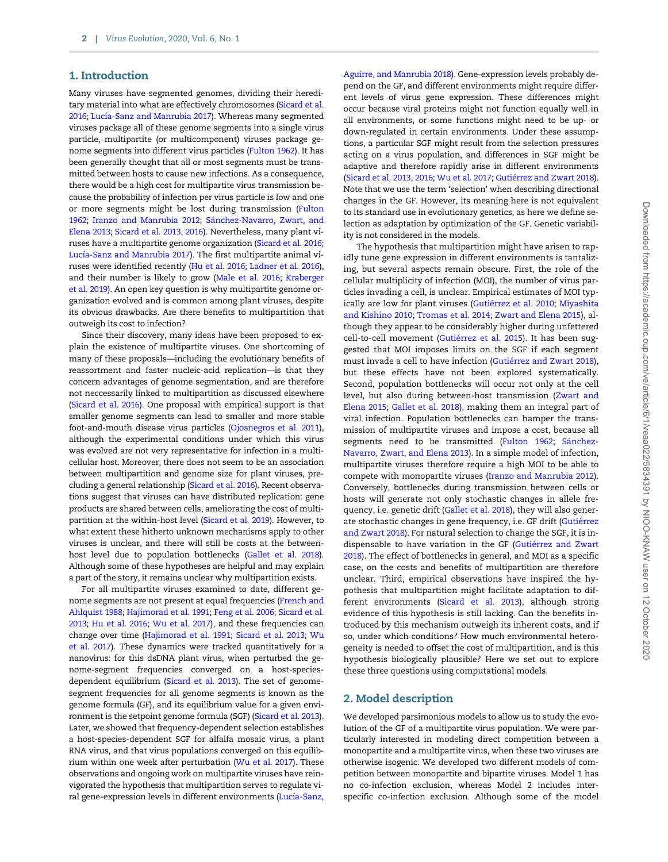# 1. Introduction

Many viruses have segmented genomes, dividing their hereditary material into what are effectively chromosomes ([Sicard et al.](#page-12-0) [2016](#page-12-0); Lucía-Sanz and Manrubia 2017). Whereas many segmented viruses package all of these genome segments into a single virus particle, multipartite (or multicomponent) viruses package genome segments into different virus particles ([Fulton 1962](#page-12-0)). It has been generally thought that all or most segments must be transmitted between hosts to cause new infections. As a consequence, there would be a high cost for multipartite virus transmission because the probability of infection per virus particle is low and one or more segments might be lost during transmission ([Fulton](#page-12-0) [1962](#page-12-0); [Iranzo and Manrubia 2012](#page-12-0); Sánchez-Navarro, Zwart, and [Elena 2013](#page-12-0); [Sicard et al. 2013, 2016](#page-12-0)). Nevertheless, many plant viruses have a multipartite genome organization ([Sicard et al. 2016](#page-12-0); Lucía-Sanz and Manrubia 2017). The first multipartite animal viruses were identified recently [\(Hu et al. 2016;](#page-12-0) [Ladner et al. 2016\)](#page-12-0), and their number is likely to grow [\(Male et al. 2016;](#page-12-0) [Kraberger](#page-12-0) [et al. 2019\)](#page-12-0). An open key question is why multipartite genome organization evolved and is common among plant viruses, despite its obvious drawbacks. Are there benefits to multipartition that outweigh its cost to infection?

Since their discovery, many ideas have been proposed to explain the existence of multipartite viruses. One shortcoming of many of these proposals—including the evolutionary benefits of reassortment and faster nucleic-acid replication—is that they concern advantages of genome segmentation, and are therefore not neccessarily linked to multipartition as discussed elsewhere [\(Sicard et al. 2016\)](#page-12-0). One proposal with empirical support is that smaller genome segments can lead to smaller and more stable foot-and-mouth disease virus particles ([Ojosnegros et al. 2011\)](#page-12-0), although the experimental conditions under which this virus was evolved are not very representative for infection in a multicellular host. Moreover, there does not seem to be an association between multipartition and genome size for plant viruses, precluding a general relationship [\(Sicard et al. 2016\)](#page-12-0). Recent observations suggest that viruses can have distributed replication: gene products are shared between cells, ameliorating the cost of multipartition at the within-host level [\(Sicard et al. 2019](#page-12-0)). However, to what extent these hitherto unknown mechanisms apply to other viruses is unclear, and there will still be costs at the betweenhost level due to population bottlenecks ([Gallet et al. 2018\)](#page-12-0). Although some of these hypotheses are helpful and may explain a part of the story, it remains unclear why multipartition exists.

For all multipartite viruses examined to date, different genome segments are not present at equal frequencies ([French and](#page-11-0) [Ahlquist 1988](#page-11-0); [Hajimorad et al. 1991](#page-12-0); [Feng et al. 2006](#page-11-0); [Sicard et al.](#page-12-0) [2013](#page-12-0); [Hu et al. 2016](#page-12-0); [Wu et al. 2017](#page-12-0)), and these frequencies can change over time ([Hajimorad et al. 1991](#page-12-0); [Sicard et al. 2013](#page-12-0); [Wu](#page-12-0) [et al. 2017\)](#page-12-0). These dynamics were tracked quantitatively for a nanovirus: for this dsDNA plant virus, when perturbed the genome-segment frequencies converged on a host-speciesdependent equilibrium ([Sicard et al. 2013](#page-12-0)). The set of genomesegment frequencies for all genome segments is known as the genome formula (GF), and its equilibrium value for a given environment is the setpoint genome formula (SGF) [\(Sicard et al. 2013\)](#page-12-0). Later, we showed that frequency-dependent selection establishes a host-species-dependent SGF for alfalfa mosaic virus, a plant RNA virus, and that virus populations converged on this equilibrium within one week after perturbation [\(Wu et al. 2017\)](#page-12-0). These observations and ongoing work on multipartite viruses have reinvigorated the hypothesis that multipartition serves to regulate viral gene-expression levels in different environments (Lucía-Sanz,

[Aguirre, and Manrubia 2018\)](#page-12-0). Gene-expression levels probably depend on the GF, and different environments might require different levels of virus gene expression. These differences might occur because viral proteins might not function equally well in all environments, or some functions might need to be up- or down-regulated in certain environments. Under these assumptions, a particular SGF might result from the selection pressures acting on a virus population, and differences in SGF might be adaptive and therefore rapidly arise in different environments [\(Sicard et al. 2013, 2016;](#page-12-0) [Wu et al. 2017;](#page-12-0) Gutiérrez and Zwart 2018). Note that we use the term 'selection' when describing directional changes in the GF. However, its meaning here is not equivalent to its standard use in evolutionary genetics, as here we define selection as adaptation by optimization of the GF. Genetic variability is not considered in the models.

The hypothesis that multipartition might have arisen to rapidly tune gene expression in different environments is tantalizing, but several aspects remain obscure. First, the role of the cellular multiplicity of infection (MOI), the number of virus particles invading a cell, is unclear. Empirical estimates of MOI typ-ically are low for plant viruses (Gutiérrez et al. 2010; [Miyashita](#page-12-0) [and Kishino 2010](#page-12-0); [Tromas et al. 2014;](#page-12-0) [Zwart and Elena 2015\)](#page-12-0), although they appear to be considerably higher during unfettered cell-to-cell movement (Gutiérrez et al. 2015). It has been suggested that MOI imposes limits on the SGF if each segment must invade a cell to have infection (Gutiérrez and Zwart 2018), but these effects have not been explored systematically. Second, population bottlenecks will occur not only at the cell level, but also during between-host transmission ([Zwart and](#page-12-0) [Elena 2015;](#page-12-0) [Gallet et al. 2018](#page-12-0)), making them an integral part of viral infection. Population bottlenecks can hamper the transmission of multipartite viruses and impose a cost, because all segments need to be transmitted ([Fulton 1962](#page-12-0); Sánchez-[Navarro, Zwart, and Elena 2013\)](#page-12-0). In a simple model of infection, multipartite viruses therefore require a high MOI to be able to compete with monopartite viruses [\(Iranzo and Manrubia 2012\)](#page-12-0). Conversely, bottlenecks during transmission between cells or hosts will generate not only stochastic changes in allele frequency, i.e. genetic drift ([Gallet et al. 2018\)](#page-12-0), they will also generate stochastic changes in gene frequency, i.e. GF drift (Gutiérrez [and Zwart 2018](#page-12-0)). For natural selection to change the SGF, it is indispensable to have variation in the GF (Gutiérrez and Zwart [2018\)](#page-12-0). The effect of bottlenecks in general, and MOI as a specific case, on the costs and benefits of multipartition are therefore unclear. Third, empirical observations have inspired the hypothesis that multipartition might facilitate adaptation to different environments [\(Sicard et al. 2013](#page-12-0)), although strong evidence of this hypothesis is still lacking. Can the benefits introduced by this mechanism outweigh its inherent costs, and if so, under which conditions? How much environmental heterogeneity is needed to offset the cost of multipartition, and is this hypothesis biologically plausible? Here we set out to explore these three questions using computational models.

# 2. Model description

We developed parsimonious models to allow us to study the evolution of the GF of a multipartite virus population. We were particularly interested in modeling direct competition between a monopartite and a multipartite virus, when these two viruses are otherwise isogenic. We developed two different models of competition between monopartite and bipartite viruses. Model 1 has no co-infection exclusion, whereas Model 2 includes interspecific co-infection exclusion. Although some of the model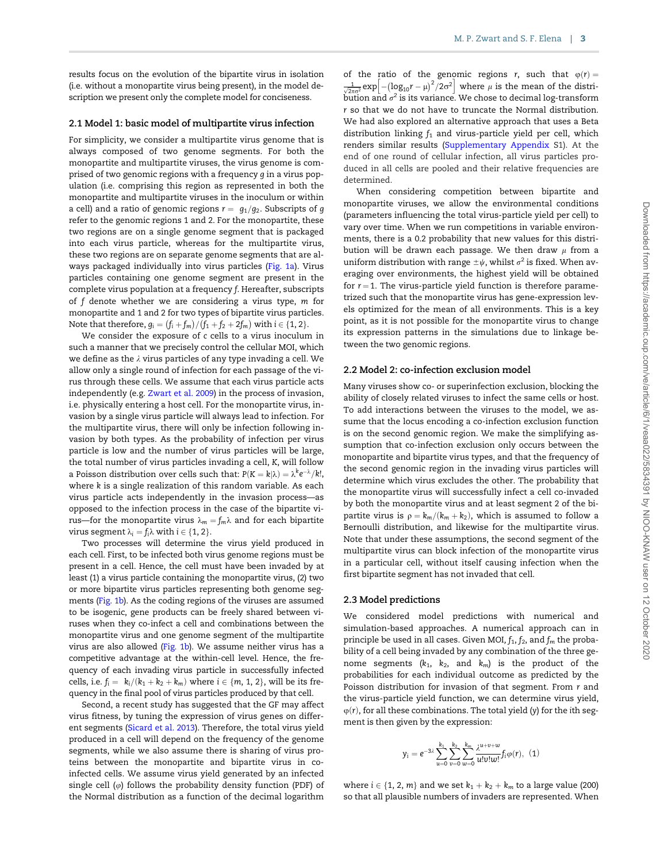results focus on the evolution of the bipartite virus in isolation (i.e. without a monopartite virus being present), in the model description we present only the complete model for conciseness.

# 2.1 Model 1: basic model of multipartite virus infection

For simplicity, we consider a multipartite virus genome that is always composed of two genome segments. For both the monopartite and multipartite viruses, the virus genome is comprised of two genomic regions with a frequency g in a virus population (i.e. comprising this region as represented in both the monopartite and multipartite viruses in the inoculum or within a cell) and a ratio of genomic regions  $r = q_1/q_2$ . Subscripts of q refer to the genomic regions 1 and 2. For the monopartite, these two regions are on a single genome segment that is packaged into each virus particle, whereas for the multipartite virus, these two regions are on separate genome segments that are always packaged individually into virus particles ([Fig. 1a](#page-3-0)). Virus particles containing one genome segment are present in the complete virus population at a frequency f. Hereafter, subscripts of f denote whether we are considering a virus type, m for monopartite and 1 and 2 for two types of bipartite virus particles. Note that therefore,  $g_i = (f_i + f_m)/(\overline{f_1} + f_2 + 2f_m)$  with  $i \in \{1, 2\}$ .

We consider the exposure of c cells to a virus inoculum in such a manner that we precisely control the cellular MOI, which we define as the  $\lambda$  virus particles of any type invading a cell. We allow only a single round of infection for each passage of the virus through these cells. We assume that each virus particle acts independently (e.g. [Zwart et al. 2009](#page-12-0)) in the process of invasion, i.e. physically entering a host cell. For the monopartite virus, invasion by a single virus particle will always lead to infection. For the multipartite virus, there will only be infection following invasion by both types. As the probability of infection per virus particle is low and the number of virus particles will be large, the total number of virus particles invading a cell, K, will follow a Poisson distribution over cells such that:  $P(K=k|\lambda)=\lambda^k e^{-\lambda}/k! ,$ where k is a single realization of this random variable. As each virus particle acts independently in the invasion process—as opposed to the infection process in the case of the bipartite virus—for the monopartite virus  $\lambda_m = f_m \lambda$  and for each bipartite virus segment  $\lambda_i = f_i \lambda$  with  $i \in \{1, 2\}.$ 

Two processes will determine the virus yield produced in each cell. First, to be infected both virus genome regions must be present in a cell. Hence, the cell must have been invaded by at least (1) a virus particle containing the monopartite virus, (2) two or more bipartite virus particles representing both genome segments [\(Fig. 1b](#page-3-0)). As the coding regions of the viruses are assumed to be isogenic, gene products can be freely shared between viruses when they co-infect a cell and combinations between the monopartite virus and one genome segment of the multipartite virus are also allowed ([Fig. 1b](#page-3-0)). We assume neither virus has a competitive advantage at the within-cell level. Hence, the frequency of each invading virus particle in successfully infected cells, i.e.  $f_i = k_i / (k_1 + k_2 + k_m)$  where  $i \in \{m, 1, 2\}$ , will be its frequency in the final pool of virus particles produced by that cell.

Second, a recent study has suggested that the GF may affect virus fitness, by tuning the expression of virus genes on different segments [\(Sicard et al. 2013\)](#page-12-0). Therefore, the total virus yield produced in a cell will depend on the frequency of the genome segments, while we also assume there is sharing of virus proteins between the monopartite and bipartite virus in coinfected cells. We assume virus yield generated by an infected single cell  $(\varphi)$  follows the probability density function (PDF) of the Normal distribution as a function of the decimal logarithm

of the ratio of the genomic regions r, such that  $\varphi(r) =$  $\frac{1}{\sqrt{2\pi\sigma^2}} \exp \left[ -(\log_{10} r - \mu)^2 / 2\sigma^2 \right]$  where  $\mu$  is the mean of the distribution and  $\sigma^2$  is its variance. We chose to decimal log-transform r so that we do not have to truncate the Normal distribution. We had also explored an alternative approach that uses a Beta distribution linking  $f_1$  and virus-particle yield per cell, which renders similar results ([Supplementary Appendix](https://academic.oup.com/ve/article-lookup/doi/10.1093/ve/veaa022#supplementary-data) S1). At the end of one round of cellular infection, all virus particles produced in all cells are pooled and their relative frequencies are determined.

When considering competition between bipartite and monopartite viruses, we allow the environmental conditions (parameters influencing the total virus-particle yield per cell) to vary over time. When we run competitions in variable environments, there is a 0.2 probability that new values for this distribution will be drawn each passage. We then draw  $\mu$  from a uniform distribution with range  $\pm\psi$ , whilst  $\sigma^2$  is fixed. When averaging over environments, the highest yield will be obtained for  $r = 1$ . The virus-particle yield function is therefore parametrized such that the monopartite virus has gene-expression levels optimized for the mean of all environments. This is a key point, as it is not possible for the monopartite virus to change its expression patterns in the simulations due to linkage between the two genomic regions.

#### 2.2 Model 2: co-infection exclusion model

Many viruses show co- or superinfection exclusion, blocking the ability of closely related viruses to infect the same cells or host. To add interactions between the viruses to the model, we assume that the locus encoding a co-infection exclusion function is on the second genomic region. We make the simplifying assumption that co-infection exclusion only occurs between the monopartite and bipartite virus types, and that the frequency of the second genomic region in the invading virus particles will determine which virus excludes the other. The probability that the monopartite virus will successfully infect a cell co-invaded by both the monopartite virus and at least segment 2 of the bipartite virus is  $p = k_m / (k_m + k_2)$ , which is assumed to follow a Bernoulli distribution, and likewise for the multipartite virus. Note that under these assumptions, the second segment of the multipartite virus can block infection of the monopartite virus in a particular cell, without itself causing infection when the first bipartite segment has not invaded that cell.

#### 2.3 Model predictions

We considered model predictions with numerical and simulation-based approaches. A numerical approach can in principle be used in all cases. Given MOI,  $f_1, f_2$ , and  $f_m$  the probability of a cell being invaded by any combination of the three genome segments ( $k_1$ ,  $k_2$ , and  $k_m$ ) is the product of the probabilities for each individual outcome as predicted by the Poisson distribution for invasion of that segment. From r and the virus-particle yield function, we can determine virus yield,  $\varphi(r)$ , for all these combinations. The total yield (y) for the ith segment is then given by the expression:

$$
y_i=e^{-3\lambda}\sum_{u=0}^{k_1}\sum_{\nu=0}^{k_2}\sum_{\omega=0}^{k_m}\frac{\lambda^{u+\nu+w}}{u!\nu!\omega!}f_i\varphi(r),\ \, (1)
$$

where  $i \in \{1, 2, m\}$  and we set  $k_1 + k_2 + k_m$  to a large value (200) so that all plausible numbers of invaders are represented. When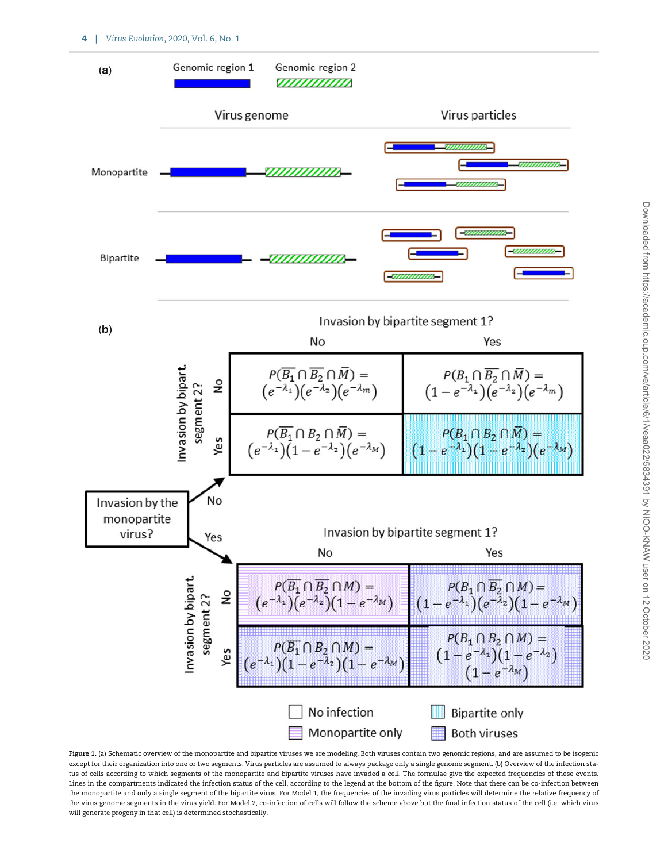<span id="page-3-0"></span>

Figure 1. (a) Schematic overview of the monopartite and bipartite viruses we are modeling. Both viruses contain two genomic regions, and are assumed to be isogenic except for their organization into one or two segments. Virus particles are assumed to always package only a single genome segment. (b) Overview of the infection status of cells according to which segments of the monopartite and bipartite viruses have invaded a cell. The formulae give the expected frequencies of these events. Lines in the compartments indicated the infection status of the cell, according to the legend at the bottom of the figure. Note that there can be co-infection between the monopartite and only a single segment of the bipartite virus. For Model 1, the frequencies of the invading virus particles will determine the relative frequency of the virus genome segments in the virus yield. For Model 2, co-infection of cells will follow the scheme above but the final infection status of the cell (i.e. which virus will generate progeny in that cell) is determined stochastically.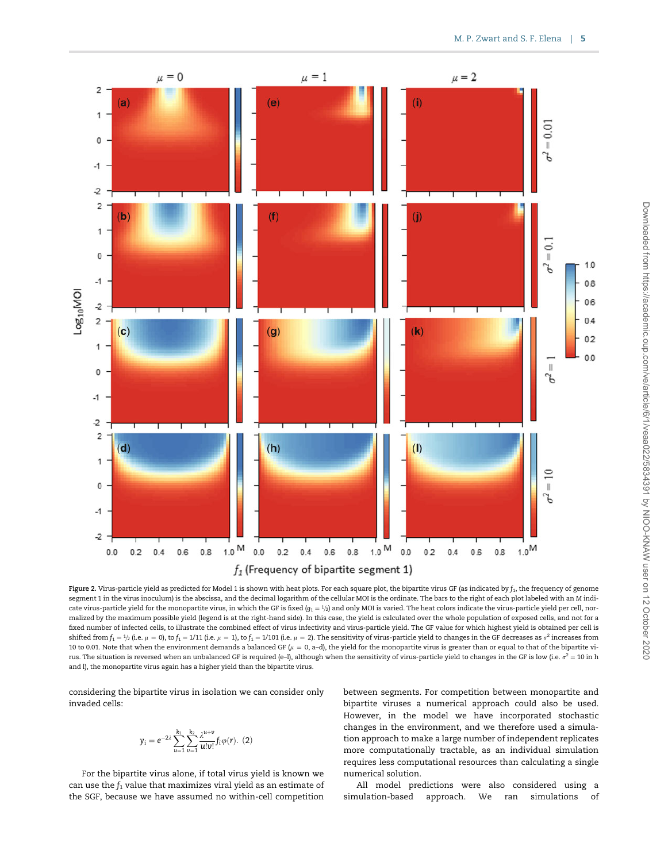<span id="page-4-0"></span>

Figure 2. Virus-particle yield as predicted for Model 1 is shown with heat plots. For each square plot, the bipartite virus GF (as indicated by f<sub>1</sub>, the frequency of genome segment 1 in the virus inoculum) is the abscissa, and the decimal logarithm of the cellular MOI is the ordinate. The bars to the right of each plot labeled with an M indicate virus-particle yield for the monopartite virus, in which the GF is fixed  $(q_1 = 1/2)$  and only MOI is varied. The heat colors indicate the virus-particle yield per cell, normalized by the maximum possible yield (legend is at the right-hand side). In this case, the yield is calculated over the whole population of exposed cells, and not for a fixed number of infected cells, to illustrate the combined effect of virus infectivity and virus-particle yield. The GF value for which highest yield is obtained per cell is shifted from  $f_1 = 1/2$  (i.e.  $\mu = 0$ ), to  $f_1 = 1/11$  (i.e.  $\mu = 1$ ), to  $f_1 = 1/101$  (i.e.  $\mu = 2$ ). The sensitivity of virus-particle yield to changes in the GF decreases as  $\sigma^2$  increases from 10 to 0.01. Note that when the environment demands a balanced GF ( $\mu = 0$ , a–d), the yield for the monopartite virus is greater than or equal to that of the bipartite virus. The situation is reversed when an unbalanced GF is required (e–l), although when the sensitivity of virus-particle yield to changes in the GF is low (i.e.  $\sigma^2 = 10$  in h and l), the monopartite virus again has a higher yield than the bipartite virus.

considering the bipartite virus in isolation we can consider only invaded cells:

$$
y_i = e^{-2\lambda} \sum_{u=1}^{k_1} \sum_{v=1}^{k_2} \frac{\lambda^{u+v}}{u!v!} f_i \varphi(r). (2)
$$

For the bipartite virus alone, if total virus yield is known we can use the  $f_1$  value that maximizes viral yield as an estimate of the SGF, because we have assumed no within-cell competition between segments. For competition between monopartite and bipartite viruses a numerical approach could also be used. However, in the model we have incorporated stochastic changes in the environment, and we therefore used a simulation approach to make a large number of independent replicates more computationally tractable, as an individual simulation requires less computational resources than calculating a single numerical solution.

All model predictions were also considered using a simulation-based approach. We ran simulations of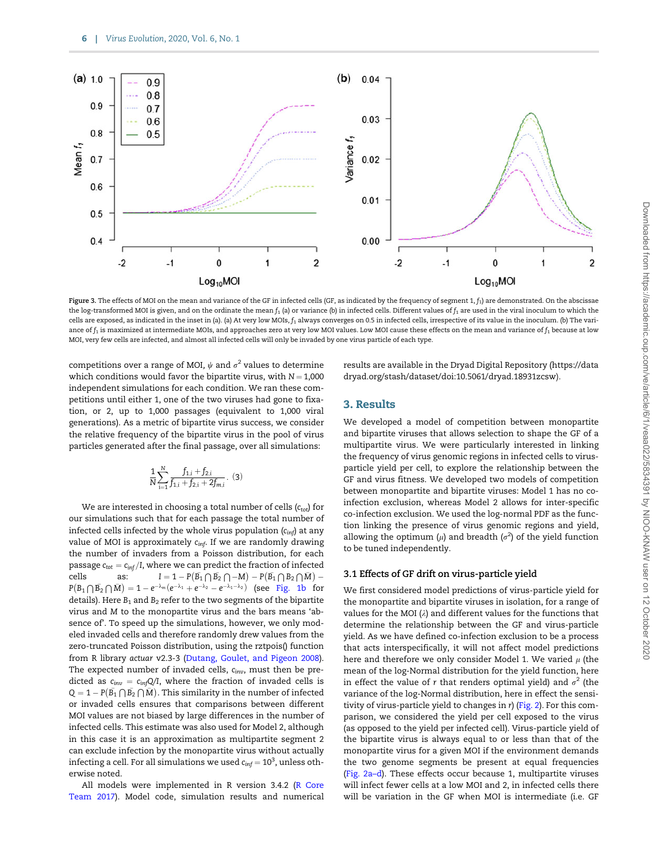<span id="page-5-0"></span>

Figure 3. The effects of MOI on the mean and variance of the GF in infected cells (GF, as indicated by the frequency of segment  $1, f_1$ ) are demonstrated. On the abscissae the log-transformed MOI is given, and on the ordinate the mean  $f_1$  (a) or variance (b) in infected cells. Different values of  $f_1$  are used in the viral inoculum to which the cells are exposed, as indicated in the inset in (a). (a) At very low MOIs,  $f_1$  always converges on 0.5 in infected cells, irrespective of its value in the inoculum. (b) The variance of  $f_1$  is maximized at intermediate MOIs, and approaches zero at very low MOI values. Low MOI cause these effects on the mean and variance of  $f_1$  because at low MOI, very few cells are infected, and almost all infected cells will only be invaded by one virus particle of each type.

competitions over a range of MOI,  $\psi$  and  $\sigma^2$  values to determine which conditions would favor the bipartite virus, with  $N = 1,000$ independent simulations for each condition. We ran these competitions until either 1, one of the two viruses had gone to fixation, or 2, up to 1,000 passages (equivalent to 1,000 viral generations). As a metric of bipartite virus success, we consider the relative frequency of the bipartite virus in the pool of virus particles generated after the final passage, over all simulations:

$$
\frac{1}{N} \sum_{i=1}^{N} \frac{f_{1,i} + f_{2,i}}{f_{1,i} + f_{2,i} + 2f_{m,i}}.
$$
 (3)

We are interested in choosing a total number of cells  $(c_{tot})$  for our simulations such that for each passage the total number of infected cells infected by the whole virus population  $(c_{inf})$  at any value of MOI is approximately  $c_{\text{inf}}$ . If we are randomly drawing the number of invaders from a Poisson distribution, for each passage  $c_{\text{tot}} = c_{\text{inf}} / I$ , where we can predict the fraction of infected cells as:  $I = 1 - P(\bar{B}_1 \cap \bar{B}_2 \cap -M) - P(\bar{B}_1 \cap \bar{B}_2 \cap \bar{M}) P(B_1 \cap \overline{B_2} \cap \overline{M}) = 1 - e^{-\lambda_m} (e^{-\lambda_1} + e^{-\lambda_2} - e^{-\lambda_1 - \lambda_2})$  (see [Fig. 1b](#page-3-0) for details). Here  $B_1$  and  $B_2$  refer to the two segments of the bipartite virus and M to the monopartite virus and the bars means 'absence of'. To speed up the simulations, however, we only modeled invaded cells and therefore randomly drew values from the zero-truncated Poisson distribution, using the rztpois() function from R library actuar v2.3-3 ([Dutang, Goulet, and Pigeon 2008\)](#page-11-0). The expected number of invaded cells, c<sub>inv</sub>, must then be predicted as  $c_{inv} = c_{inf}Q/I$ , where the fraction of invaded cells is  $Q = 1 - P(\overline{B_1} \cap \overline{B_2} \cap \overline{M})$ . This similarity in the number of infected or invaded cells ensures that comparisons between different MOI values are not biased by large differences in the number of infected cells. This estimate was also used for Model 2, although in this case it is an approximation as multipartite segment 2 can exclude infection by the monopartite virus without actually infecting a cell. For all simulations we used  $\mathfrak{c}_{\mathsf{inf}}$  = 10<sup>3</sup>, unless otherwise noted.

All models were implemented in R version 3.4.2 [\(R Core](#page-12-0) [Team 2017\)](#page-12-0). Model code, simulation results and numerical results are available in the Dryad Digital Repository [\(https://data](https://datadryad.org/stash/dataset/doi:10.5061/dryad.18931zcsw) [dryad.org/stash/dataset/doi:10.5061/dryad.18931zcsw](https://datadryad.org/stash/dataset/doi:10.5061/dryad.18931zcsw)).

# 3. Results

We developed a model of competition between monopartite and bipartite viruses that allows selection to shape the GF of a multipartite virus. We were particularly interested in linking the frequency of virus genomic regions in infected cells to virusparticle yield per cell, to explore the relationship between the GF and virus fitness. We developed two models of competition between monopartite and bipartite viruses: Model 1 has no coinfection exclusion, whereas Model 2 allows for inter-specific co-infection exclusion. We used the log-normal PDF as the function linking the presence of virus genomic regions and yield, allowing the optimum ( $\mu$ ) and breadth ( $\sigma^2$ ) of the yield function to be tuned independently.

#### 3.1 Effects of GF drift on virus-particle yield

We first considered model predictions of virus-particle yield for the monopartite and bipartite viruses in isolation, for a range of values for the MOI  $(\lambda)$  and different values for the functions that determine the relationship between the GF and virus-particle yield. As we have defined co-infection exclusion to be a process that acts interspecifically, it will not affect model predictions here and therefore we only consider Model 1. We varied  $\mu$  (the mean of the log-Normal distribution for the yield function, here in effect the value of r that renders optimal yield) and  $\sigma^2$  (the variance of the log-Normal distribution, here in effect the sensitivity of virus-particle yield to changes in r) ([Fig. 2\)](#page-4-0). For this comparison, we considered the yield per cell exposed to the virus (as opposed to the yield per infected cell). Virus-particle yield of the bipartite virus is always equal to or less than that of the monopartite virus for a given MOI if the environment demands the two genome segments be present at equal frequencies [\(Fig. 2a–d](#page-4-0)). These effects occur because 1, multipartite viruses will infect fewer cells at a low MOI and 2, in infected cells there will be variation in the GF when MOI is intermediate (i.e. GF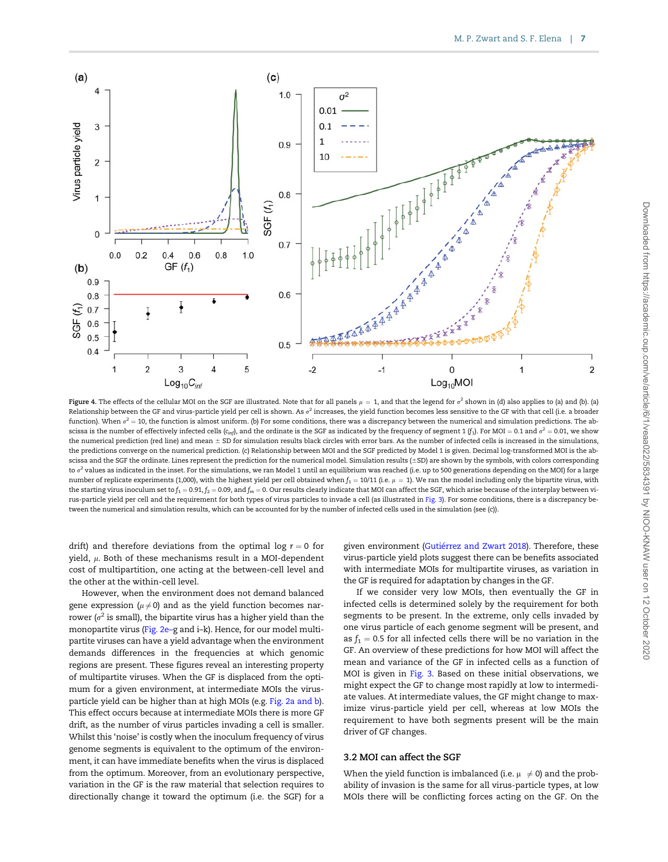<span id="page-6-0"></span>

Figure 4. The effects of the cellular MOI on the SGF are illustrated. Note that for all panels  $\mu = 1$ , and that the legend for  $\sigma^2$  shown in (d) also applies to (a) and (b). (a) Relationship between the GF and virus-particle yield per cell is shown. As  $\sigma^2$  increases, the yield function becomes less sensitive to the GF with that cell (i.e. a broader function). When  $\sigma^2 = 10$ , the function is almost uniform. (b) For some conditions, there was a discrepancy between the numerical and simulation predictions. The abscissa is the number of effectively infected cells (c<sub>inf</sub>), and the ordinate is the SGF as indicated by the frequency of segment 1 (f<sub>1</sub>). For MOI = 0.1 and  $\sigma^2$  = 0.01, we show the numerical prediction (red line) and mean  $\pm$  SD for simulation results black circles with error bars. As the number of infected cells is increased in the simulations, the predictions converge on the numerical prediction. (c) Relationship between MOI and the SGF predicted by Model 1 is given. Decimal log-transformed MOI is the abscissa and the SGF the ordinate. Lines represent the prediction for the numerical model. Simulation results  $(\pm SD)$  are shown by the symbols, with colors corresponding to  $\sigma^2$  values as indicated in the inset. For the simulations, we ran Model 1 until an equilibrium was reached (i.e. up to 500 generations depending on the MOI) for a large number of replicate experiments (1,000), with the highest yield per cell obtained when  $f_1 = 10/11$  (i.e.  $\mu = 1$ ). We ran the model including only the bipartite virus, with the starting virus inoculum set to  $f_1 = 0.91$ ,  $f_2 = 0.09$ , and  $f_m = 0$ . Our results clearly indicate that MOI can affect the SGF, which arise because of the interplay between vi-rus-particle yield per cell and the requirement for both types of virus particles to invade a cell (as illustrated in [Fig. 3](#page-5-0)). For some conditions, there is a discrepancy between the numerical and simulation results, which can be accounted for by the number of infected cells used in the simulation (see (c)).

drift) and therefore deviations from the optimal log  $r = 0$  for yield,  $\mu$ . Both of these mechanisms result in a MOI-dependent cost of multipartition, one acting at the between-cell level and the other at the within-cell level.

However, when the environment does not demand balanced gene expression ( $\mu \neq 0$ ) and as the yield function becomes narrower ( $\sigma^2$  is small), the bipartite virus has a higher yield than the monopartite virus [\(Fig. 2e–g](#page-4-0) and i–k). Hence, for our model multipartite viruses can have a yield advantage when the environment demands differences in the frequencies at which genomic regions are present. These figures reveal an interesting property of multipartite viruses. When the GF is displaced from the optimum for a given environment, at intermediate MOIs the virusparticle yield can be higher than at high MOIs (e.g. [Fig. 2a and b\)](#page-4-0). This effect occurs because at intermediate MOIs there is more GF drift, as the number of virus particles invading a cell is smaller. Whilst this 'noise' is costly when the inoculum frequency of virus genome segments is equivalent to the optimum of the environment, it can have immediate benefits when the virus is displaced from the optimum. Moreover, from an evolutionary perspective, variation in the GF is the raw material that selection requires to directionally change it toward the optimum (i.e. the SGF) for a

given environment (Gutiérrez and Zwart 2018). Therefore, these virus-particle yield plots suggest there can be benefits associated with intermediate MOIs for multipartite viruses, as variation in the GF is required for adaptation by changes in the GF.

If we consider very low MOIs, then eventually the GF in infected cells is determined solely by the requirement for both segments to be present. In the extreme, only cells invaded by one virus particle of each genome segment will be present, and as  $f_1 = 0.5$  for all infected cells there will be no variation in the GF. An overview of these predictions for how MOI will affect the mean and variance of the GF in infected cells as a function of MOI is given in [Fig. 3](#page-5-0). Based on these initial observations, we might expect the GF to change most rapidly at low to intermediate values. At intermediate values, the GF might change to maximize virus-particle yield per cell, whereas at low MOIs the requirement to have both segments present will be the main driver of GF changes.

## 3.2 MOI can affect the SGF

When the yield function is imbalanced (i.e.  $\mu \neq 0$ ) and the probability of invasion is the same for all virus-particle types, at low MOIs there will be conflicting forces acting on the GF. On the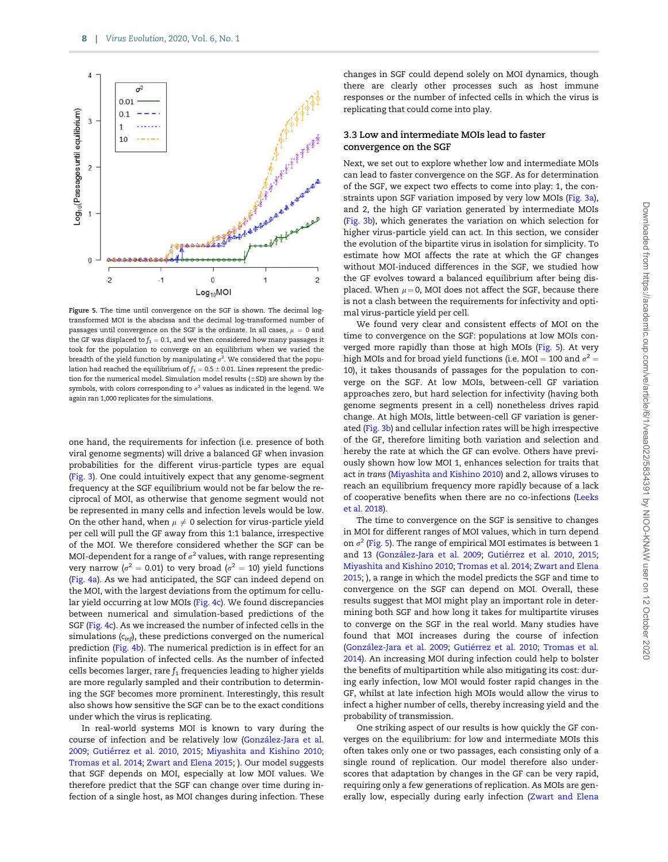<span id="page-7-0"></span>

Figure 5. The time until convergence on the SGF is shown. The decimal logtransformed MOI is the abscissa and the decimal log-transformed number of passages until convergence on the SGF is the ordinate. In all cases,  $\mu = 0$  and the GF was displaced to  $f_1 = {\rm 0.1,}$  and we then considered how many passages it took for the population to converge on an equilibrium when we varied the breadth of the yield function by manipulating  $\sigma^2$ . We considered that the population had reached the equilibrium of  $f_1 = 0.5 \pm 0.01$ . Lines represent the prediction for the numerical model. Simulation model results  $(\pm SD)$  are shown by the symbols, with colors corresponding to  $\sigma^2$  values as indicated in the legend. We again ran 1,000 replicates for the simulations.

one hand, the requirements for infection (i.e. presence of both viral genome segments) will drive a balanced GF when invasion probabilities for the different virus-particle types are equal [\(Fig. 3\)](#page-5-0). One could intuitively expect that any genome-segment frequency at the SGF equilibrium would not be far below the reciprocal of MOI, as otherwise that genome segment would not be represented in many cells and infection levels would be low. On the other hand, when  $\mu \neq 0$  selection for virus-particle yield per cell will pull the GF away from this 1:1 balance, irrespective of the MOI. We therefore considered whether the SGF can be MOI-dependent for a range of  $\sigma^2$  values, with range representing very narrow ( $\sigma^2$  = 0.01) to very broad ( $\sigma^2$  = 10) yield functions [\(Fig. 4a](#page-6-0)). As we had anticipated, the SGF can indeed depend on the MOI, with the largest deviations from the optimum for cellular yield occurring at low MOIs ([Fig. 4c\)](#page-6-0). We found discrepancies between numerical and simulation-based predictions of the SGF [\(Fig. 4c\)](#page-6-0). As we increased the number of infected cells in the simulations  $(c_{\text{inf}})$ , these predictions converged on the numerical prediction ([Fig. 4b](#page-6-0)). The numerical prediction is in effect for an infinite population of infected cells. As the number of infected cells becomes larger, rare  $f_1$  frequencies leading to higher yields are more regularly sampled and their contribution to determining the SGF becomes more prominent. Interestingly, this result also shows how sensitive the SGF can be to the exact conditions under which the virus is replicating.

In real-world systems MOI is known to vary during the course of infection and be relatively low (González-Jara et al. [2009;](#page-12-0) Gutiérrez et al. 2010, 2015; [Miyashita and Kishino 2010](#page-12-0); [Tromas et al. 2014](#page-12-0); [Zwart and Elena 2015;](#page-12-0) ). Our model suggests that SGF depends on MOI, especially at low MOI values. We therefore predict that the SGF can change over time during infection of a single host, as MOI changes during infection. These changes in SGF could depend solely on MOI dynamics, though there are clearly other processes such as host immune responses or the number of infected cells in which the virus is replicating that could come into play.

# 3.3 Low and intermediate MOIs lead to faster convergence on the SGF

Next, we set out to explore whether low and intermediate MOIs can lead to faster convergence on the SGF. As for determination of the SGF, we expect two effects to come into play: 1, the constraints upon SGF variation imposed by very low MOIs [\(Fig. 3a\)](#page-5-0), and 2, the high GF variation generated by intermediate MOIs [\(Fig. 3b\)](#page-5-0), which generates the variation on which selection for higher virus-particle yield can act. In this section, we consider the evolution of the bipartite virus in isolation for simplicity. To estimate how MOI affects the rate at which the GF changes without MOI-induced differences in the SGF, we studied how the GF evolves toward a balanced equilibrium after being displaced. When  $\mu = 0$ , MOI does not affect the SGF, because there is not a clash between the requirements for infectivity and optimal virus-particle yield per cell.

We found very clear and consistent effects of MOI on the time to convergence on the SGF: populations at low MOIs converged more rapidly than those at high MOIs (Fig. 5). At very high MOIs and for broad yield functions (i.e. MOI = 100 and  $\sigma^2$  = 10), it takes thousands of passages for the population to converge on the SGF. At low MOIs, between-cell GF variation approaches zero, but hard selection for infectivity (having both genome segments present in a cell) nonetheless drives rapid change. At high MOIs, little between-cell GF variation is generated [\(Fig. 3b](#page-5-0)) and cellular infection rates will be high irrespective of the GF, therefore limiting both variation and selection and hereby the rate at which the GF can evolve. Others have previously shown how low MOI 1, enhances selection for traits that act in trans [\(Miyashita and Kishino 2010](#page-12-0)) and 2, allows viruses to reach an equilibrium frequency more rapidly because of a lack of cooperative benefits when there are no co-infections ([Leeks](#page-12-0) [et al. 2018](#page-12-0)).

The time to convergence on the SGF is sensitive to changes in MOI for different ranges of MOI values, which in turn depend on  $\sigma^2$  (Fig. 5). The range of empirical MOI estimates is between 1 and 13 (González-Jara et al. 2009; Gutiérrez et al. 2010, 2015; [Miyashita and Kishino 2010;](#page-12-0) [Tromas et al. 2014;](#page-12-0) [Zwart and Elena](#page-12-0) [2015;](#page-12-0) ), a range in which the model predicts the SGF and time to convergence on the SGF can depend on MOI. Overall, these results suggest that MOI might play an important role in determining both SGF and how long it takes for multipartite viruses to converge on the SGF in the real world. Many studies have found that MOI increases during the course of infection (González-Jara et al. 2009; Gutiérrez et al. 2010; [Tromas et al.](#page-12-0) [2014\)](#page-12-0). An increasing MOI during infection could help to bolster the benefits of multipartition while also mitigating its cost: during early infection, low MOI would foster rapid changes in the GF, whilst at late infection high MOIs would allow the virus to infect a higher number of cells, thereby increasing yield and the probability of transmission.

One striking aspect of our results is how quickly the GF converges on the equilibrium: for low and intermediate MOIs this often takes only one or two passages, each consisting only of a single round of replication. Our model therefore also underscores that adaptation by changes in the GF can be very rapid, requiring only a few generations of replication. As MOIs are gen-erally low, especially during early infection [\(Zwart and Elena](#page-12-0)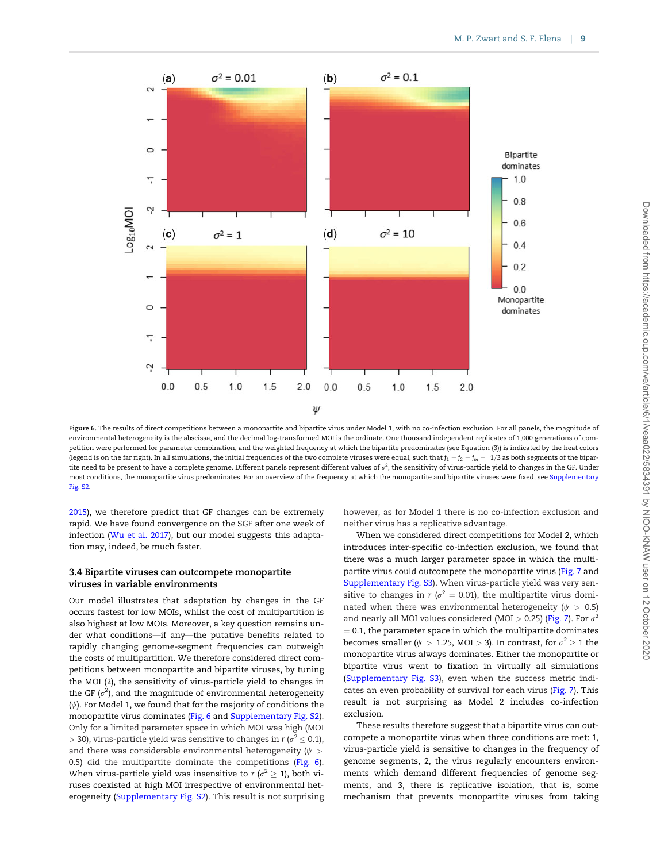

Figure 6. The results of direct competitions between a monopartite and bipartite virus under Model 1, with no co-infection exclusion. For all panels, the magnitude of environmental heterogeneity is the abscissa, and the decimal log-transformed MOI is the ordinate. One thousand independent replicates of 1,000 generations of competition were performed for parameter combination, and the weighted frequency at which the bipartite predominates (see Equation (3)) is indicated by the heat colors (legend is on the far right). In all simulations, the initial frequencies of the two complete viruses were equal, such that  $f_1 = f_2 = f_m = 1/3$  as both segments of the bipartite need to be present to have a complete genome. Different panels represent different values of  $\sigma^2$ , the sensitivity of virus-particle yield to changes in the GF. Under most conditions, the monopartite virus predominates. For an overview of the frequency at which the monopartite and bipartite viruses were fixed, see [Supplementary](https://academic.oup.com/ve/article-lookup/doi/10.1093/ve/veaa022#supplementary-data) [Fig. S2.](https://academic.oup.com/ve/article-lookup/doi/10.1093/ve/veaa022#supplementary-data)

[2015\)](#page-12-0), we therefore predict that GF changes can be extremely rapid. We have found convergence on the SGF after one week of infection [\(Wu et al. 2017\)](#page-12-0), but our model suggests this adaptation may, indeed, be much faster.

## 3.4 Bipartite viruses can outcompete monopartite viruses in variable environments

Our model illustrates that adaptation by changes in the GF occurs fastest for low MOIs, whilst the cost of multipartition is also highest at low MOIs. Moreover, a key question remains under what conditions—if any—the putative benefits related to rapidly changing genome-segment frequencies can outweigh the costs of multipartition. We therefore considered direct competitions between monopartite and bipartite viruses, by tuning the MOI  $(\lambda)$ , the sensitivity of virus-particle yield to changes in the GF ( $\sigma^2$ ), and the magnitude of environmental heterogeneity  $(\psi)$ . For Model 1, we found that for the majority of conditions the monopartite virus dominates (Fig. 6 and [Supplementary Fig. S2\)](https://academic.oup.com/ve/article-lookup/doi/10.1093/ve/veaa022#supplementary-data). Only for a limited parameter space in which MOI was high (MOI  $>$  30), virus-particle yield was sensitive to changes in r ( $\sigma^2$  < 0.1), and there was considerable environmental heterogeneity ( $\psi$  > 0.5) did the multipartite dominate the competitions (Fig. 6). When virus-particle yield was insensitive to  $r (\sigma^2 \ge 1)$ , both viruses coexisted at high MOI irrespective of environmental heterogeneity [\(Supplementary Fig. S2\)](https://academic.oup.com/ve/article-lookup/doi/10.1093/ve/veaa022#supplementary-data). This result is not surprising however, as for Model 1 there is no co-infection exclusion and neither virus has a replicative advantage.

When we considered direct competitions for Model 2, which introduces inter-specific co-infection exclusion, we found that there was a much larger parameter space in which the multipartite virus could outcompete the monopartite virus [\(Fig. 7](#page-9-0) and [Supplementary Fig. S3\)](https://academic.oup.com/ve/article-lookup/doi/10.1093/ve/veaa022#supplementary-data). When virus-particle yield was very sensitive to changes in  $r (\sigma^2 = 0.01)$ , the multipartite virus dominated when there was environmental heterogeneity ( $\psi > 0.5$ ) and nearly all MOI values considered (MOI > 0.25) [\(Fig. 7](#page-9-0)). For  $\sigma^2$  $= 0.1$ , the parameter space in which the multipartite dominates becomes smaller ( $\psi > 1.25$ , MOI > 3). In contrast, for  $\sigma^2 \ge 1$  the monopartite virus always dominates. Either the monopartite or bipartite virus went to fixation in virtually all simulations [\(Supplementary Fig. S3\)](https://academic.oup.com/ve/article-lookup/doi/10.1093/ve/veaa022#supplementary-data), even when the success metric indicates an even probability of survival for each virus [\(Fig. 7](#page-9-0)). This result is not surprising as Model 2 includes co-infection exclusion.

These results therefore suggest that a bipartite virus can outcompete a monopartite virus when three conditions are met: 1, virus-particle yield is sensitive to changes in the frequency of genome segments, 2, the virus regularly encounters environments which demand different frequencies of genome segments, and 3, there is replicative isolation, that is, some mechanism that prevents monopartite viruses from taking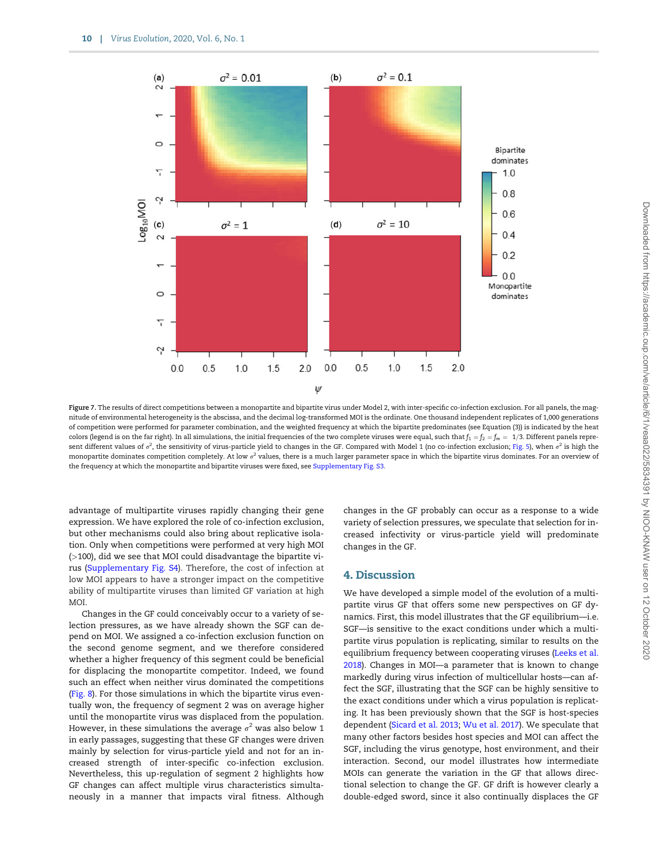<span id="page-9-0"></span>

Figure 7. The results of direct competitions between a monopartite and bipartite virus under Model 2, with inter-specific co-infection exclusion. For all panels, the magnitude of environmental heterogeneity is the abscissa, and the decimal log-transformed MOI is the ordinate. One thousand independent replicates of 1,000 generations of competition were performed for parameter combination, and the weighted frequency at which the bipartite predominates (see Equation (3)) is indicated by the heat colors (legend is on the far right). In all simulations, the initial frequencies of the two complete viruses were equal, such that  $f_1 = f_2 = f_m = 1/3$ . Different panels represent different values of  $\sigma^2$ , the sensitivity of virus-particle yield to changes in the GF. Compared with Model 1 (no co-infection exclusion; [Fig. 5\)](#page-7-0), when  $\sigma^2$  is high the monopartite dominates competition completely. At low  $\sigma^2$  values, there is a much larger parameter space in which the bipartite virus dominates. For an overview of the frequency at which the monopartite and bipartite viruses were fixed, see [Supplementary Fig. S3](https://academic.oup.com/ve/article-lookup/doi/10.1093/ve/veaa022#supplementary-data).

advantage of multipartite viruses rapidly changing their gene expression. We have explored the role of co-infection exclusion, but other mechanisms could also bring about replicative isolation. Only when competitions were performed at very high MOI (>100), did we see that MOI could disadvantage the bipartite virus [\(Supplementary Fig. S4](https://academic.oup.com/ve/article-lookup/doi/10.1093/ve/veaa022#supplementary-data)). Therefore, the cost of infection at low MOI appears to have a stronger impact on the competitive ability of multipartite viruses than limited GF variation at high MOI.

Changes in the GF could conceivably occur to a variety of selection pressures, as we have already shown the SGF can depend on MOI. We assigned a co-infection exclusion function on the second genome segment, and we therefore considered whether a higher frequency of this segment could be beneficial for displacing the monopartite competitor. Indeed, we found such an effect when neither virus dominated the competitions [\(Fig. 8\)](#page-10-0). For those simulations in which the bipartite virus eventually won, the frequency of segment 2 was on average higher until the monopartite virus was displaced from the population. However, in these simulations the average  $\sigma^2$  was also below 1 in early passages, suggesting that these GF changes were driven mainly by selection for virus-particle yield and not for an increased strength of inter-specific co-infection exclusion. Nevertheless, this up-regulation of segment 2 highlights how GF changes can affect multiple virus characteristics simultaneously in a manner that impacts viral fitness. Although changes in the GF probably can occur as a response to a wide variety of selection pressures, we speculate that selection for increased infectivity or virus-particle yield will predominate changes in the GF.

# 4. Discussion

We have developed a simple model of the evolution of a multipartite virus GF that offers some new perspectives on GF dynamics. First, this model illustrates that the GF equilibrium—i.e. SGF—is sensitive to the exact conditions under which a multipartite virus population is replicating, similar to results on the equilibrium frequency between cooperating viruses ([Leeks et al.](#page-12-0) [2018\)](#page-12-0). Changes in MOI—a parameter that is known to change markedly during virus infection of multicellular hosts—can affect the SGF, illustrating that the SGF can be highly sensitive to the exact conditions under which a virus population is replicating. It has been previously shown that the SGF is host-species dependent [\(Sicard et al. 2013](#page-12-0); [Wu et al. 2017](#page-12-0)). We speculate that many other factors besides host species and MOI can affect the SGF, including the virus genotype, host environment, and their interaction. Second, our model illustrates how intermediate MOIs can generate the variation in the GF that allows directional selection to change the GF. GF drift is however clearly a double-edged sword, since it also continually displaces the GF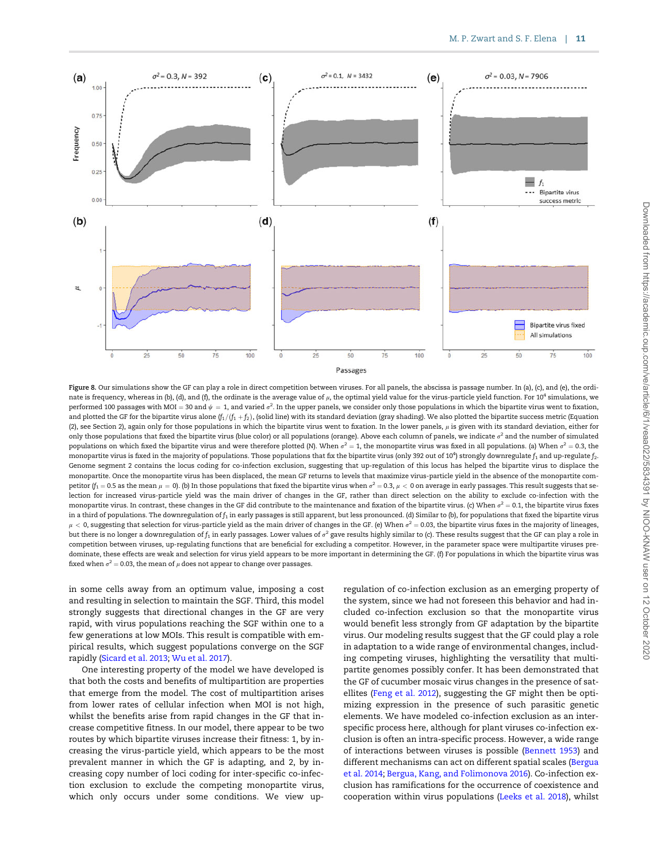<span id="page-10-0"></span>

Figure 8. Our simulations show the GF can play a role in direct competition between viruses. For all panels, the abscissa is passage number. In (a), (c), and (e), the ordinate is frequency, whereas in (b), (d), and (f), the ordinate is the average value of  $\mu$ , the optimal yield value for the virus-particle yield function. For 10<sup>4</sup> simulations, we performed 100 passages with MOI = 30 and  $\psi\,=\,$  1, and varied  $\sigma^2$ . In the upper panels, we consider only those populations in which the bipartite virus went to fixation, and plotted the GF for the bipartite virus alone  $(f_1/f_1+f_2)$ , (solid line) with its standard deviation (gray shading). We also plotted the bipartite success metric (Equation (2), see Section 2), again only for those populations in which the bipartite virus went to fixation. In the lower panels,  $\mu$  is given with its standard deviation, either for only those populations that fixed the bipartite virus (blue color) or all populations (orange). Above each column of panels, we indicate  $\sigma^2$  and the number of simulated populations on which fixed the bipartite virus and were therefore plotted (N). When  $\sigma^2 = 1$ , the monopartite virus was fixed in all populations. (a) When  $\sigma^2 = 0.3$ , the monopartite virus is fixed in the majority of populations. Those populations that fix the bipartite virus (only 392 out of 10<sup>4</sup>) strongly downregulate  $f_1$  and up-regulate  $f_2$ Genome segment 2 contains the locus coding for co-infection exclusion, suggesting that up-regulation of this locus has helped the bipartite virus to displace the monopartite. Once the monopartite virus has been displaced, the mean GF returns to levels that maximize virus-particle yield in the absence of the monopartite competitor ( $f_1 = 0.5$  as the mean  $\mu = 0$ ). (b) In those populations that fixed the bipartite virus when  $\sigma^2 = 0.3$ ,  $\mu < 0$  on average in early passages. This result suggests that selection for increased virus-particle yield was the main driver of changes in the GF, rather than direct selection on the ability to exclude co-infection with the monopartite virus. In contrast, these changes in the GF did contribute to the maintenance and fixation of the bipartite virus. (c) When  $\sigma^2 = 0.1$ , the bipartite virus fixes in a third of populations. The downregulation of  $f_1$  in early passages is still apparent, but less pronounced. (d) Similar to (b), for populations that fixed the bipartite virus  $\mu < 0$ , suggesting that selection for virus-particle yield as the main driver of changes in the GF. (e) When  $\sigma^2 = 0.03$ , the bipartite virus fixes in the majority of lineages, but there is no longer a downregulation of  $f_1$  in early passages. Lower values of  $\sigma^2$  gave results highly similar to (c). These results suggest that the GF can play a role in competition between viruses, up-regulating functions that are beneficial for excluding a competitor. However, in the parameter space were multipartite viruses predominate, these effects are weak and selection for virus yield appears to be more important in determining the GF. (f) For populations in which the bipartite virus was fixed when  $\sigma^2 = 0.03$ , the mean of  $\mu$  does not appear to change over passages.

in some cells away from an optimum value, imposing a cost and resulting in selection to maintain the SGF. Third, this model strongly suggests that directional changes in the GF are very rapid, with virus populations reaching the SGF within one to a few generations at low MOIs. This result is compatible with empirical results, which suggest populations converge on the SGF rapidly [\(Sicard et al. 2013;](#page-12-0) [Wu et al. 2017](#page-12-0)).

One interesting property of the model we have developed is that both the costs and benefits of multipartition are properties that emerge from the model. The cost of multipartition arises from lower rates of cellular infection when MOI is not high, whilst the benefits arise from rapid changes in the GF that increase competitive fitness. In our model, there appear to be two routes by which bipartite viruses increase their fitness: 1, by increasing the virus-particle yield, which appears to be the most prevalent manner in which the GF is adapting, and 2, by increasing copy number of loci coding for inter-specific co-infection exclusion to exclude the competing monopartite virus, which only occurs under some conditions. We view upregulation of co-infection exclusion as an emerging property of the system, since we had not foreseen this behavior and had included co-infection exclusion so that the monopartite virus would benefit less strongly from GF adaptation by the bipartite virus. Our modeling results suggest that the GF could play a role in adaptation to a wide range of environmental changes, including competing viruses, highlighting the versatility that multipartite genomes possibly confer. It has been demonstrated that the GF of cucumber mosaic virus changes in the presence of satellites [\(Feng et al. 2012](#page-11-0)), suggesting the GF might then be optimizing expression in the presence of such parasitic genetic elements. We have modeled co-infection exclusion as an interspecific process here, although for plant viruses co-infection exclusion is often an intra-specific process. However, a wide range of interactions between viruses is possible [\(Bennett 1953\)](#page-11-0) and different mechanisms can act on different spatial scales ([Bergua](#page-11-0) [et al. 2014](#page-11-0); [Bergua, Kang, and Folimonova 2016](#page-11-0)). Co-infection exclusion has ramifications for the occurrence of coexistence and cooperation within virus populations [\(Leeks et al. 2018](#page-12-0)), whilst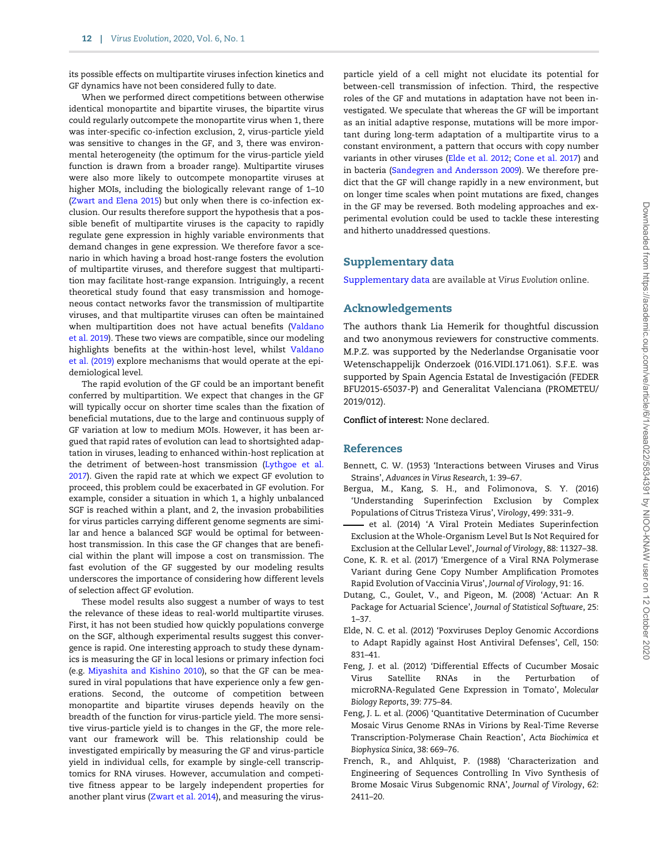<span id="page-11-0"></span>its possible effects on multipartite viruses infection kinetics and GF dynamics have not been considered fully to date.

When we performed direct competitions between otherwise identical monopartite and bipartite viruses, the bipartite virus could regularly outcompete the monopartite virus when 1, there was inter-specific co-infection exclusion, 2, virus-particle yield was sensitive to changes in the GF, and 3, there was environmental heterogeneity (the optimum for the virus-particle yield function is drawn from a broader range). Multipartite viruses were also more likely to outcompete monopartite viruses at higher MOIs, including the biologically relevant range of 1–10 [\(Zwart and Elena 2015\)](#page-12-0) but only when there is co-infection exclusion. Our results therefore support the hypothesis that a possible benefit of multipartite viruses is the capacity to rapidly regulate gene expression in highly variable environments that demand changes in gene expression. We therefore favor a scenario in which having a broad host-range fosters the evolution of multipartite viruses, and therefore suggest that multipartition may facilitate host-range expansion. Intriguingly, a recent theoretical study found that easy transmission and homogeneous contact networks favor the transmission of multipartite viruses, and that multipartite viruses can often be maintained when multipartition does not have actual benefits ([Valdano](#page-12-0) [et al. 2019](#page-12-0)). These two views are compatible, since our modeling highlights benefits at the within-host level, whilst [Valdano](#page-12-0) [et al. \(2019\)](#page-12-0) explore mechanisms that would operate at the epidemiological level.

The rapid evolution of the GF could be an important benefit conferred by multipartition. We expect that changes in the GF will typically occur on shorter time scales than the fixation of beneficial mutations, due to the large and continuous supply of GF variation at low to medium MOIs. However, it has been argued that rapid rates of evolution can lead to shortsighted adaptation in viruses, leading to enhanced within-host replication at the detriment of between-host transmission [\(Lythgoe et al.](#page-12-0) [2017\)](#page-12-0). Given the rapid rate at which we expect GF evolution to proceed, this problem could be exacerbated in GF evolution. For example, consider a situation in which 1, a highly unbalanced SGF is reached within a plant, and 2, the invasion probabilities for virus particles carrying different genome segments are similar and hence a balanced SGF would be optimal for betweenhost transmission. In this case the GF changes that are beneficial within the plant will impose a cost on transmission. The fast evolution of the GF suggested by our modeling results underscores the importance of considering how different levels of selection affect GF evolution.

These model results also suggest a number of ways to test the relevance of these ideas to real-world multipartite viruses. First, it has not been studied how quickly populations converge on the SGF, although experimental results suggest this convergence is rapid. One interesting approach to study these dynamics is measuring the GF in local lesions or primary infection foci (e.g. [Miyashita and Kishino 2010](#page-12-0)), so that the GF can be measured in viral populations that have experience only a few generations. Second, the outcome of competition between monopartite and bipartite viruses depends heavily on the breadth of the function for virus-particle yield. The more sensitive virus-particle yield is to changes in the GF, the more relevant our framework will be. This relationship could be investigated empirically by measuring the GF and virus-particle yield in individual cells, for example by single-cell transcriptomics for RNA viruses. However, accumulation and competitive fitness appear to be largely independent properties for another plant virus [\(Zwart et al. 2014](#page-12-0)), and measuring the virus-

particle yield of a cell might not elucidate its potential for between-cell transmission of infection. Third, the respective roles of the GF and mutations in adaptation have not been investigated. We speculate that whereas the GF will be important as an initial adaptive response, mutations will be more important during long-term adaptation of a multipartite virus to a constant environment, a pattern that occurs with copy number variants in other viruses (Elde et al. 2012; Cone et al. 2017) and in bacteria [\(Sandegren and Andersson 2009](#page-12-0)). We therefore predict that the GF will change rapidly in a new environment, but on longer time scales when point mutations are fixed, changes in the GF may be reversed. Both modeling approaches and experimental evolution could be used to tackle these interesting and hitherto unaddressed questions.

# Supplementary data

[Supplementary data](https://academic.oup.com/ve/article-lookup/doi/10.1093/ve/veaa022#supplementary-data) are available at Virus Evolution online.

# Acknowledgements

The authors thank Lia Hemerik for thoughtful discussion and two anonymous reviewers for constructive comments. M.P.Z. was supported by the Nederlandse Organisatie voor Wetenschappelijk Onderzoek (016.VIDI.171.061). S.F.E. was supported by Spain Agencia Estatal de Investigación (FEDER BFU2015-65037-P) and Generalitat Valenciana (PROMETEU/ 2019/012).

Conflict of interest: None declared.

#### References

- Bennett, C. W. (1953) 'Interactions between Viruses and Virus Strains', Advances in Virus Research, 1: 39–67.
- Bergua, M., Kang, S. H., and Folimonova, S. Y. (2016) 'Understanding Superinfection Exclusion by Complex Populations of Citrus Tristeza Virus', Virology, 499: 331–9.
- et al. (2014) 'A Viral Protein Mediates Superinfection Exclusion at the Whole-Organism Level But Is Not Required for Exclusion at the Cellular Level', Journal of Virology, 88: 11327–38.
- Cone, K. R. et al. (2017) 'Emergence of a Viral RNA Polymerase Variant during Gene Copy Number Amplification Promotes Rapid Evolution of Vaccinia Virus', Journal of Virology, 91: 16.
- Dutang, C., Goulet, V., and Pigeon, M. (2008) 'Actuar: An R Package for Actuarial Science', Journal of Statistical Software, 25: 1–37.
- Elde, N. C. et al. (2012) 'Poxviruses Deploy Genomic Accordions to Adapt Rapidly against Host Antiviral Defenses', Cell, 150: 831–41.
- Feng, J. et al. (2012) 'Differential Effects of Cucumber Mosaic Virus Satellite RNAs in the Perturbation microRNA-Regulated Gene Expression in Tomato', Molecular Biology Reports, 39: 775–84.
- Feng, J. L. et al. (2006) 'Quantitative Determination of Cucumber Mosaic Virus Genome RNAs in Virions by Real-Time Reverse Transcription-Polymerase Chain Reaction', Acta Biochimica et Biophysica Sinica, 38: 669–76.
- French, R., and Ahlquist, P. (1988) 'Characterization and Engineering of Sequences Controlling In Vivo Synthesis of Brome Mosaic Virus Subgenomic RNA', Journal of Virology, 62: 2411–20.